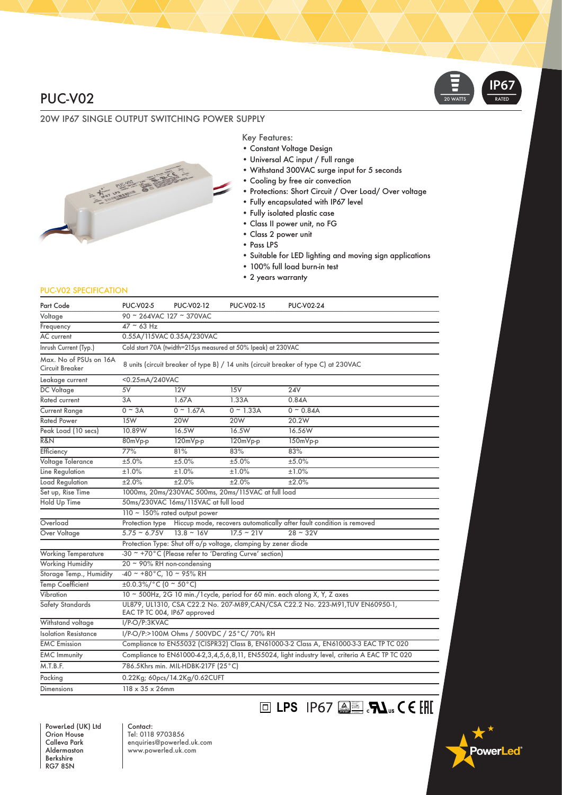## PUC-V02

## 20W IP67 SINGLE OUTPUT SWITCHING POWER SUPPLY



#### Key Features:

- Constant Voltage Design
- Universal AC input / Full range
- Withstand 300VAC surge input for 5 seconds

**LPS** IP67

- Cooling by free air convection
- Protections: Short Circuit / Over Load/ Over voltage
- Fully encapsulated with IP67 level
- Fully isolated plastic case
- Class II power unit, no FG
- Class 2 power unit
- Pass LPS
- Suitable for LED lighting and moving sign applications
- 100% full load burn-in test
- 2 years warranty

#### PUC-V02 SPECIFICATION

| Part Code                                 | <b>PUC-V02-5</b>                                                                                                | <b>PUC-V02-12</b>                                                          | <b>PUC-V02-15</b>                                      | <b>PUC-V02-24</b>                                                                               |  |
|-------------------------------------------|-----------------------------------------------------------------------------------------------------------------|----------------------------------------------------------------------------|--------------------------------------------------------|-------------------------------------------------------------------------------------------------|--|
| Voltage                                   | 90 ~ 264VAC 127 ~ 370VAC                                                                                        |                                                                            |                                                        |                                                                                                 |  |
| Frequency                                 | $47 \sim 63$ Hz                                                                                                 |                                                                            |                                                        |                                                                                                 |  |
| AC current                                | 0.55A/115VAC 0.35A/230VAC                                                                                       |                                                                            |                                                        |                                                                                                 |  |
| Inrush Current (Typ.)                     | Cold start 70A (twidth=215µs measured at 50% Ipeak) at 230VAC                                                   |                                                                            |                                                        |                                                                                                 |  |
| Max. No of PSUs on 16A<br>Circuit Breaker | 8 units (circuit breaker of type B) / 14 units (circuit breaker of type C) at 230VAC                            |                                                                            |                                                        |                                                                                                 |  |
| Leakage current                           | <0.25mA/240VAC                                                                                                  |                                                                            |                                                        |                                                                                                 |  |
| DC Voltage                                | 5V                                                                                                              | 12V                                                                        | 15V                                                    | <b>24V</b>                                                                                      |  |
| <b>Rated current</b>                      | 3A                                                                                                              | 1.67A                                                                      | 1.33A                                                  | 0.84A                                                                                           |  |
| <b>Current Range</b>                      | $0 \sim 3A$                                                                                                     | $0 \sim 1.67$ A                                                            | $0 \sim 1.33A$                                         | $0 \sim 0.84$ A                                                                                 |  |
| <b>Rated Power</b>                        | 15W                                                                                                             | 20W                                                                        | 20W                                                    | 20.2W                                                                                           |  |
| Peak Load (10 secs)                       | 10.89W                                                                                                          | 16.5W                                                                      | 16.5W                                                  | 16.56W                                                                                          |  |
| R&N                                       | 80mVp-p                                                                                                         | 120mVp-p                                                                   | 120mVp-p                                               | 150mVp-p                                                                                        |  |
| Efficiency                                | 77%                                                                                                             | 81%                                                                        | 83%                                                    | 83%                                                                                             |  |
| Voltage Tolerance                         | ±5.0%                                                                                                           | ±5.0%                                                                      | ±5.0%                                                  | ±5.0%                                                                                           |  |
| Line Regulation                           | ±1.0%                                                                                                           | ±1.0%                                                                      | ±1.0%                                                  | ±1.0%                                                                                           |  |
| Load Regulation                           | ±2.0%                                                                                                           | ±2.0%                                                                      | ±2.0%                                                  | ±2.0%                                                                                           |  |
| Set up, Rise Time                         |                                                                                                                 |                                                                            | 1000ms, 20ms/230VAC 500ms, 20ms/115VAC at full load    |                                                                                                 |  |
| <b>Hold Up Time</b>                       | 50ms/230VAC 16ms/115VAC at full load                                                                            |                                                                            |                                                        |                                                                                                 |  |
|                                           | 110 $\sim$ 150% rated output power                                                                              |                                                                            |                                                        |                                                                                                 |  |
| Overload                                  | Protection type                                                                                                 |                                                                            |                                                        | Hiccup mode, recovers automatically after fault condition is removed                            |  |
| Over Voltage                              | $5.75 - 6.75V$                                                                                                  | $13.8 - 16V$                                                               | $17.5 - 21V$                                           | $28 - 32V$                                                                                      |  |
|                                           | Protection Type: Shut off o/p voltage, clamping by zener diode                                                  |                                                                            |                                                        |                                                                                                 |  |
| <b>Working Temperature</b>                |                                                                                                                 |                                                                            | -30 ~ +70°C (Please refer to 'Derating Curve' section) |                                                                                                 |  |
| <b>Working Humidity</b>                   |                                                                                                                 | $20 \sim 90\%$ RH non-condensing                                           |                                                        |                                                                                                 |  |
| Storage Temp., Humidity                   |                                                                                                                 | $-40$ ~ +80°C, 10 ~ 95% RH                                                 |                                                        |                                                                                                 |  |
| Temp Coefficient                          | $\pm 0.0.3\%/^{\circ}$ C (0 ~ 50 °C)                                                                            |                                                                            |                                                        |                                                                                                 |  |
| Vibration                                 |                                                                                                                 | 10 ~ 500Hz, 2G 10 min./1 cycle, period for 60 min. each along X, Y, Z axes |                                                        |                                                                                                 |  |
| Safety Standards                          | UL879, UL1310, CSA C22.2 No. 207-M89, CAN/CSA C22.2 No. 223-M91, TUV EN60950-1,<br>EAC TP TC 004, IP67 approved |                                                                            |                                                        |                                                                                                 |  |
| Withstand voltage                         | I/P-O/P:3KVAC                                                                                                   |                                                                            |                                                        |                                                                                                 |  |
| Isolation Resistance                      |                                                                                                                 | I/P-O/P:>100M Ohms / 500VDC / 25°C/ 70% RH                                 |                                                        |                                                                                                 |  |
| <b>EMC</b> Emission                       |                                                                                                                 |                                                                            |                                                        | Compliance to EN55032 (CISPR32) Class B, EN61000-3-2 Class A, EN61000-3-3 EAC TP TC 020         |  |
| <b>EMC Immunity</b>                       |                                                                                                                 |                                                                            |                                                        | Compliance to EN61000-4-2,3,4,5,6,8,11, EN55024, light industry level, criteria A EAC TP TC 020 |  |
| M.T.B.F.                                  |                                                                                                                 | 786.5Khrs min. MIL-HDBK-217F (25°C)                                        |                                                        |                                                                                                 |  |
| Packing                                   | 0.22Kg; 60pcs/14.2Kg/0.62CUFT                                                                                   |                                                                            |                                                        |                                                                                                 |  |
| <b>Dimensions</b>                         |                                                                                                                 | $118 \times 35 \times 26$ mm                                               |                                                        |                                                                                                 |  |

PowerLed (UK) Ltd Orion House Calleva Park Aldermaston Berkshire RG7 8SN

Contact: Tel: 0118 9703856 enquiries@powerled.uk.com www.powerled.uk.com